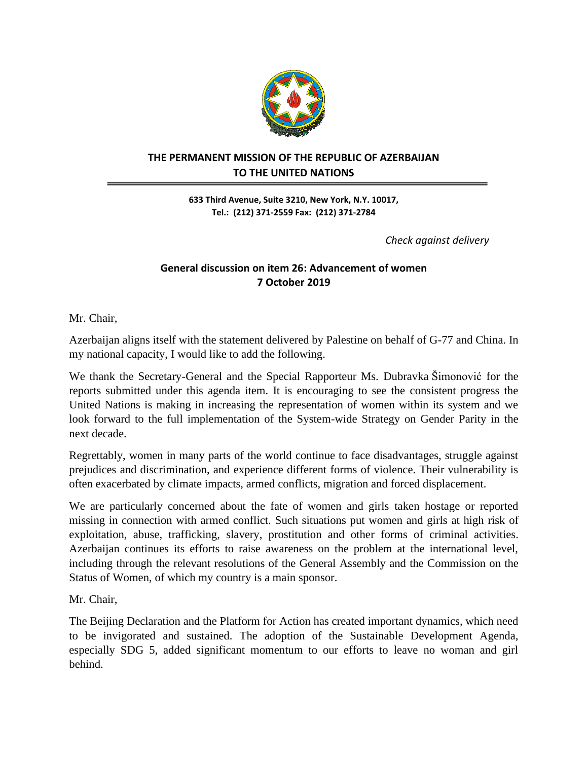

## **THE PERMANENT MISSION OF THE REPUBLIC OF AZERBAIJAN TO THE UNITED NATIONS**

**633 Third Avenue, Suite 3210, New York, N.Y. 10017, Tel.: (212) 371-2559 Fax: (212) 371-2784**

 *Check against delivery*

## **General discussion on item 26: Advancement of women 7 October 2019**

Mr. Chair,

Azerbaijan aligns itself with the statement delivered by Palestine on behalf of G-77 and China. In my national capacity, I would like to add the following.

We thank the Secretary-General and the Special Rapporteur Ms. Dubravka Šimonović for the reports submitted under this agenda item. It is encouraging to see the consistent progress the United Nations is making in increasing the representation of women within its system and we look forward to the full implementation of the System-wide Strategy on Gender Parity in the next decade.

Regrettably, women in many parts of the world continue to face disadvantages, struggle against prejudices and discrimination, and experience different forms of violence. Their vulnerability is often exacerbated by climate impacts, armed conflicts, migration and forced displacement.

We are particularly concerned about the fate of women and girls taken hostage or reported missing in connection with armed conflict. Such situations put women and girls at high risk of exploitation, abuse, trafficking, slavery, prostitution and other forms of criminal activities. Azerbaijan continues its efforts to raise awareness on the problem at the international level, including through the relevant resolutions of the General Assembly and the Commission on the Status of Women, of which my country is a main sponsor.

Mr. Chair,

The Beijing Declaration and the Platform for Action has created important dynamics, which need to be invigorated and sustained. The adoption of the Sustainable Development Agenda, especially SDG 5, added significant momentum to our efforts to leave no woman and girl behind.